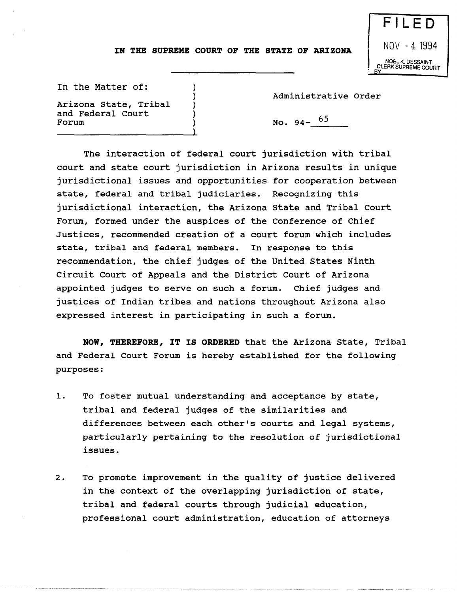## **IN THE SUPREME COURT OF THE STATE OF ARIZONA**

) ) ) ) ) )

NOV - 4 1994 NOEL K. DESSAINT CLERK SUPREME COURT

FILED

In the Matter of:

Arizona state, Tribal and Federal Court

Administrative Order

No. 94-  $65$ 

The interaction of federal court jurisdiction with tribal court and state court jurisdiction in Arizona results in unique jurisdictional issues and opportunities for cooperation between state, federal and tribal judiciaries. Recognizing this jurisdictional interaction, the Arizona state and Tribal Court Forum, formed under the auspices of the Conference of Chief Justices, recommended creation of a court forum which includes state, tribal and federal members. In response to this recommendation, the chief judges of the united states Ninth Circuit Court of Appeals and the District Court of Arizona appointed judges to serve on such a forum. Chief judges and justices of Indian tribes and nations throughout Arizona also expressed interest in participating in such a forum.

**NOW, THEREFORE, IT IS ORDERED** that the Arizona state, Tribal and Federal Court Forum is hereby established for the following purposes:

- 1. To foster mutual understanding and acceptance by state, tribal and federal judges of the similarities and differences between each other's courts and legal systems, particularly pertaining to the resolution of jurisdictional issues.
- 2. To promote improvement in the quality of justice delivered in the context of the overlapping jurisdiction of state, tribal and federal courts through judicial education, professional court administration, education of attorneys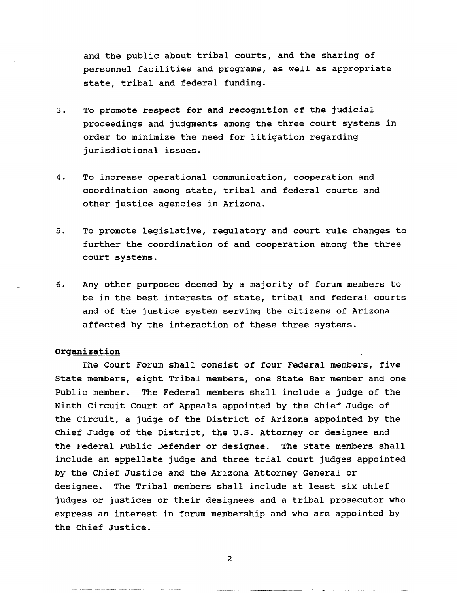and the public about tribal courts, and the sharing of personnel facilities and programs, as well as appropriate state, tribal and federal funding.

- 3. To promote respect for and recognition of the judicial proceedings and judgments among the three court systems in order to minimize the need for litigation regarding jurisdictional issues.
- 4. To increase operational communication, cooperation and coordination among state, tribal and federal courts and other justice agencies in Arizona.
- 5. To promote legislative, regulatory and court rule changes to further the coordination of and cooperation among the three court systems.
- 6. Any other purposes deemed by a majority of forum members to be in the best interests of state, tribal and federal courts and of the justice system serving the citizens of Arizona affected by the interaction of these three systems.

### **organization**

The Court Forum shall consist of four Federal members, five state members, eight Tribal members, one state Bar member and one Public member. The Federal members shall include a judge of the Ninth Circuit Court of Appeals appointed by the Chief Judge of the Circuit, a judge of the District of Arizona appointed by the Chief Judge of the District, the U.S. Attorney or designee and the Federal Public Defender or designee. The State members shall include an appellate judge and three trial court judges appointed by the Chief Justice and the Arizona Attorney General or designee. The Tribal members shall include at least six chief judges or justices or their designees and a tribal prosecutor who express an interest in forum membership and who are appointed by the Chief Justice.

2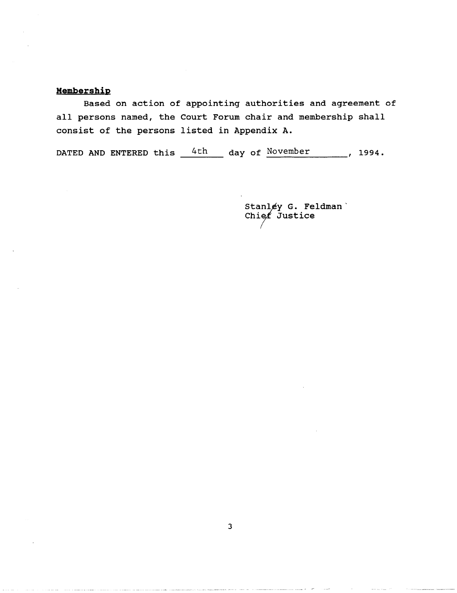## **Membership**

Based on action of appointing authorities and agreement of all persons named, the Court Forum chair and membership shall consist of the persons listed in Appendix A.

DATED AND ENTERED this  $4th$  day of November , 1994.

> Stanley G. Feldman' Chief Justice